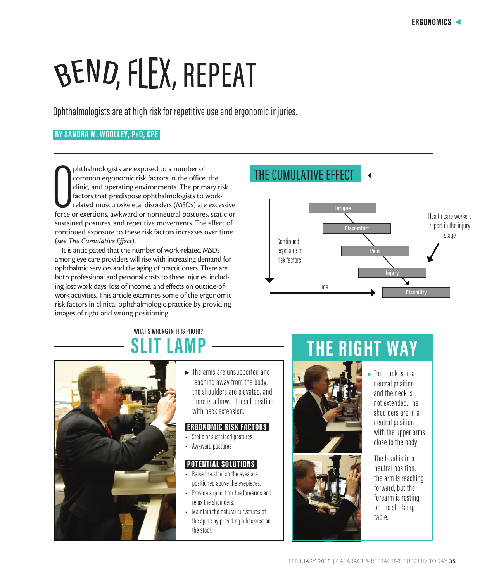Health care workers report in the injury stage

# BEND, FLEX, REPEAT

Ophthalmologists are at high risk for repetitive use and ergonomic injuries.

#### **BY SANDRA M. WOOLLEY, PhD, CPE**

phthalmologists are exposed to a number of<br>common ergonomic risk factors in the office, the<br>clinic, and operating environments. The primary risk<br>factors that predispose ophthalmologists to work-<br>related musculoskeletal dis phthalmologists are exposed to a number of common ergonomic risk factors in the office, the clinic, and operating environments. The primary risk factors that predispose ophthalmologists to workrelated musculoskeletal disorders (MSDs) are excessive sustained postures, and repetitive movements. The effect of continued exposure to these risk factors increases over time (see *The Cumulative Effect*).

It is anticipated that the number of work-related MSDs among eye care providers will rise with increasing demand for ophthalmic services and the aging of practitioners. There are both professional and personal costs to these injuries, including lost work days, loss of income, and effects on outside-ofwork activities. This article examines some of the ergonomic risk factors in clinical ophthalmologic practice by providing images of right and wrong positioning.

## **WHAT'S WRONG IN THIS PHOTO?**



 $\blacktriangleright$  The arms are unsupported and reaching away from the body, the shoulders are elevated, and there is a forward head position with neck extension.

#### ERGONOMIC RISK FACTORS

- Static or sustained postures
- Awkward postures

#### POTENTIAL SOLUTIONS

- Raise the stool so the eyes are positioned above the eyepieces.
- Provide support for the forearms and relax the shoulders.
- Maintain the natural curvatures of the spine by providing a backrest on the stool.

## **SLIT LAMP THE RIGHT WAY**



Time

THE CUMULATIVE EFFECT

Continued exposure to risk factors **Fatigue**

**Discomfort**

**Pain**

**Injury**

**Disability**

У



The trunk is in a neutral position and the neck is not extended. The shoulders are in a neutral position with the upper arms close to the body.

The head is in a neutral position, the arm is reaching forward, but the forearm is resting on the slit-lamp table.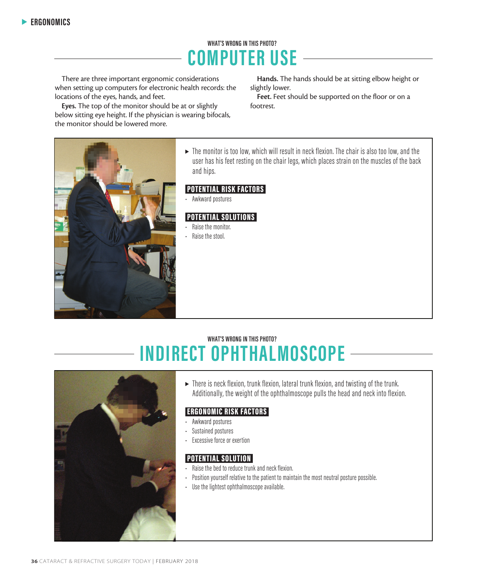## **WHAT'S WRONG IN THIS PHOTO? COMPUTER USE**

There are three important ergonomic considerations when setting up computers for electronic health records: the locations of the eyes, hands, and feet.

Eyes. The top of the monitor should be at or slightly below sitting eye height. If the physician is wearing bifocals, the monitor should be lowered more.

Hands. The hands should be at sitting elbow height or slightly lower.

Feet. Feet should be supported on the floor or on a footrest.



 $\blacktriangleright$  The monitor is too low, which will result in neck flexion. The chair is also too low, and the user has his feet resting on the chair legs, which places strain on the muscles of the back and hips.

#### POTENTIAL RISK FACTORS

• Awkward postures

#### POTENTIAL SOLUTIONS

- Raise the monitor.
- Raise the stool.

### **WHAT'S WRONG IN THIS PHOTO? INDIRECT OPHTHALMOSCOPE**



 $\triangleright$  There is neck flexion, trunk flexion, lateral trunk flexion, and twisting of the trunk. Additionally, the weight of the ophthalmoscope pulls the head and neck into flexion.

#### ERGONOMIC RISK FACTORS

- Awkward postures
- Sustained postures
- Excessive force or exertion

#### POTENTIAL SOLUTION

- Raise the bed to reduce trunk and neck flexion.
- Position yourself relative to the patient to maintain the most neutral posture possible.
- Use the lightest ophthalmoscope available.